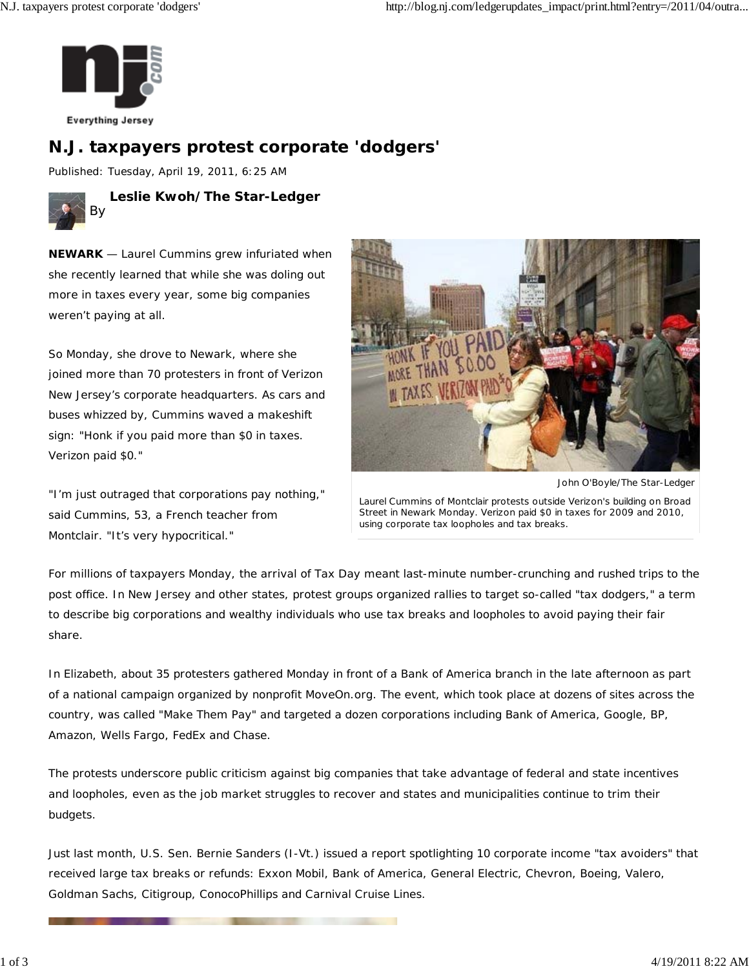

## **N.J. taxpayers protest corporate 'dodgers'**

Published: Tuesday, April 19, 2011, 6:25 AM



**Leslie Kwoh/The Star-Ledger**

**NEWARK** — Laurel Cummins grew infuriated when she recently learned that while she was doling out more in taxes every year, some big companies weren't paying at all.

So Monday, she drove to Newark, where she joined more than 70 protesters in front of Verizon New Jersey's corporate headquarters. As cars and buses whizzed by, Cummins waved a makeshift sign: "Honk if you paid more than \$0 in taxes. Verizon paid \$0."

"I'm just outraged that corporations pay nothing," said Cummins, 53, a French teacher from Montclair. "It's very hypocritical."



John O'Boyle/The Star-Ledger

Laurel Cummins of Montclair protests outside Verizon's building on Broad Street in Newark Monday. Verizon paid \$0 in taxes for 2009 and 2010, using corporate tax loopholes and tax breaks.

For millions of taxpayers Monday, the arrival of Tax Day meant last-minute number-crunching and rushed trips to the post office. In New Jersey and other states, protest groups organized rallies to target so-called "tax dodgers," a term to describe big corporations and wealthy individuals who use tax breaks and loopholes to avoid paying their fair share.

In Elizabeth, about 35 protesters gathered Monday in front of a Bank of America branch in the late afternoon as part of a national campaign organized by nonprofit MoveOn.org. The event, which took place at dozens of sites across the country, was called "Make Them Pay" and targeted a dozen corporations including Bank of America, Google, BP, Amazon, Wells Fargo, FedEx and Chase.

The protests underscore public criticism against big companies that take advantage of federal and state incentives and loopholes, even as the job market struggles to recover and states and municipalities continue to trim their budgets.

Just last month, U.S. Sen. Bernie Sanders (I-Vt.) issued a report spotlighting 10 corporate income "tax avoiders" that received large tax breaks or refunds: Exxon Mobil, Bank of America, General Electric, Chevron, Boeing, Valero, Goldman Sachs, Citigroup, ConocoPhillips and Carnival Cruise Lines.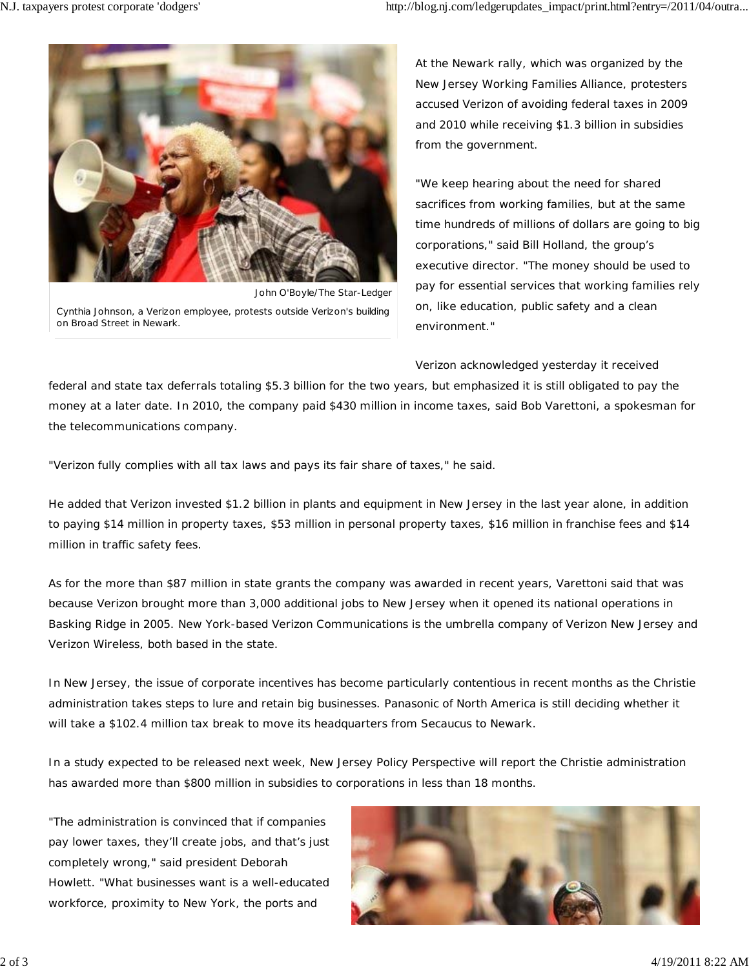

Cynthia Johnson, a Verizon employee, protests outside Verizon's building on Broad Street in Newark.

At the Newark rally, which was organized by the New Jersey Working Families Alliance, protesters accused Verizon of avoiding federal taxes in 2009 and 2010 while receiving \$1.3 billion in subsidies from the government.

"We keep hearing about the need for shared sacrifices from working families, but at the same time hundreds of millions of dollars are going to big corporations," said Bill Holland, the group's executive director. "The money should be used to pay for essential services that working families rely on, like education, public safety and a clean environment."

Verizon acknowledged yesterday it received

federal and state tax deferrals totaling \$5.3 billion for the two years, but emphasized it is still obligated to pay the money at a later date. In 2010, the company paid \$430 million in income taxes, said Bob Varettoni, a spokesman for the telecommunications company.

"Verizon fully complies with all tax laws and pays its fair share of taxes," he said.

He added that Verizon invested \$1.2 billion in plants and equipment in New Jersey in the last year alone, in addition to paying \$14 million in property taxes, \$53 million in personal property taxes, \$16 million in franchise fees and \$14 million in traffic safety fees.

As for the more than \$87 million in state grants the company was awarded in recent years, Varettoni said that was because Verizon brought more than 3,000 additional jobs to New Jersey when it opened its national operations in Basking Ridge in 2005. New York-based Verizon Communications is the umbrella company of Verizon New Jersey and Verizon Wireless, both based in the state.

In New Jersey, the issue of corporate incentives has become particularly contentious in recent months as the Christie administration takes steps to lure and retain big businesses. Panasonic of North America is still deciding whether it will take a \$102.4 million tax break to move its headquarters from Secaucus to Newark.

In a study expected to be released next week, New Jersey Policy Perspective will report the Christie administration has awarded more than \$800 million in subsidies to corporations in less than 18 months.

"The administration is convinced that if companies pay lower taxes, they'll create jobs, and that's just completely wrong," said president Deborah Howlett. "What businesses want is a well-educated workforce, proximity to New York, the ports and